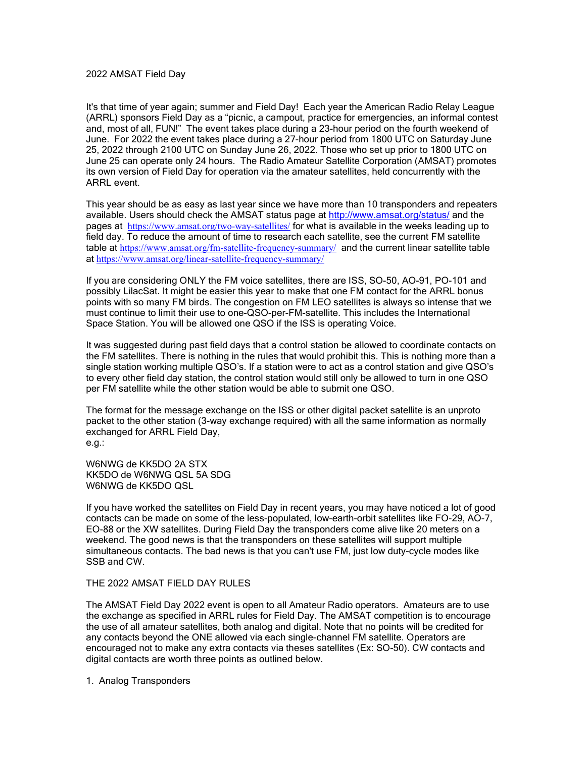## 2022 AMSAT Field Day

It's that time of year again; summer and Field Day! Each year the American Radio Relay League (ARRL) sponsors Field Day as a "picnic, a campout, practice for emergencies, an informal contest and, most of all, FUN!" The event takes place during a 23-hour period on the fourth weekend of June. For 2022 the event takes place during a 27-hour period from 1800 UTC on Saturday June 25, 2022 through 2100 UTC on Sunday June 26, 2022. Those who set up prior to 1800 UTC on June 25 can operate only 24 hours. The Radio Amateur Satellite Corporation (AMSAT) promotes its own version of Field Day for operation via the amateur satellites, held concurrently with the ARRL event.

This year should be as easy as last year since we have more than 10 transponders and repeaters available. Users should check the AMSAT status page at http://www.amsat.org/status/ and the pages at https://www.amsat.org/two-way-satellites/ for what is available in the weeks leading up to field day. To reduce the amount of time to research each satellite, see the current FM satellite table at https://www.amsat.org/fm-satellite-frequency-summary/ and the current linear satellite table at https://www.amsat.org/linear-satellite-frequency-summary/

If you are considering ONLY the FM voice satellites, there are ISS, SO-50, AO-91, PO-101 and possibly LilacSat. It might be easier this year to make that one FM contact for the ARRL bonus points with so many FM birds. The congestion on FM LEO satellites is always so intense that we must continue to limit their use to one-QSO-per-FM-satellite. This includes the International Space Station. You will be allowed one QSO if the ISS is operating Voice.

It was suggested during past field days that a control station be allowed to coordinate contacts on the FM satellites. There is nothing in the rules that would prohibit this. This is nothing more than a single station working multiple QSO's. If a station were to act as a control station and give QSO's to every other field day station, the control station would still only be allowed to turn in one QSO per FM satellite while the other station would be able to submit one QSO.

The format for the message exchange on the ISS or other digital packet satellite is an unproto packet to the other station (3-way exchange required) with all the same information as normally exchanged for ARRL Field Day, e.g.:

W6NWG de KK5DO 2A STX KK5DO de W6NWG QSL 5A SDG W6NWG de KK5DO QSL

If you have worked the satellites on Field Day in recent years, you may have noticed a lot of good contacts can be made on some of the less-populated, low-earth-orbit satellites like FO-29, AO-7, EO-88 or the XW satellites. During Field Day the transponders come alive like 20 meters on a weekend. The good news is that the transponders on these satellites will support multiple simultaneous contacts. The bad news is that you can't use FM, just low duty-cycle modes like SSB and CW.

## THE 2022 AMSAT FIELD DAY RULES

The AMSAT Field Day 2022 event is open to all Amateur Radio operators. Amateurs are to use the exchange as specified in ARRL rules for Field Day. The AMSAT competition is to encourage the use of all amateur satellites, both analog and digital. Note that no points will be credited for any contacts beyond the ONE allowed via each single-channel FM satellite. Operators are encouraged not to make any extra contacts via theses satellites (Ex: SO-50). CW contacts and digital contacts are worth three points as outlined below.

1. Analog Transponders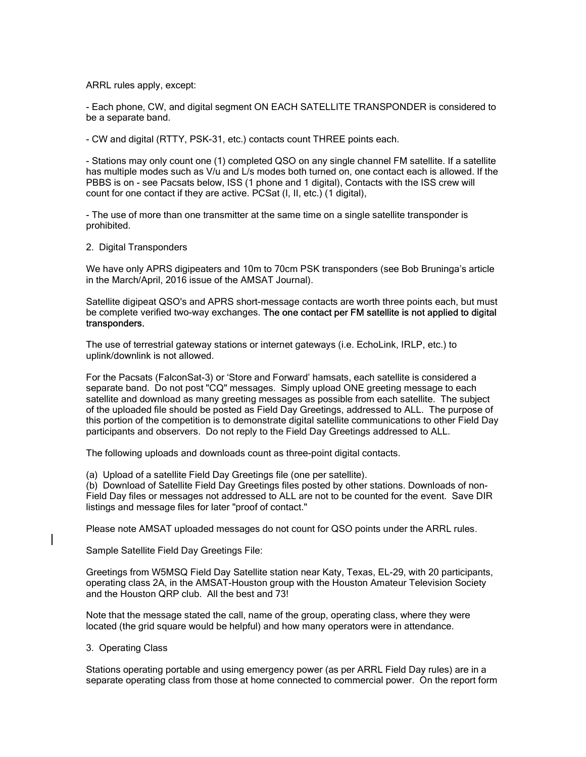ARRL rules apply, except:

- Each phone, CW, and digital segment ON EACH SATELLITE TRANSPONDER is considered to be a separate band.

- CW and digital (RTTY, PSK-31, etc.) contacts count THREE points each.

- Stations may only count one (1) completed QSO on any single channel FM satellite. If a satellite has multiple modes such as V/u and L/s modes both turned on, one contact each is allowed. If the PBBS is on - see Pacsats below, ISS (1 phone and 1 digital), Contacts with the ISS crew will count for one contact if they are active. PCSat (I, II, etc.) (1 digital),

- The use of more than one transmitter at the same time on a single satellite transponder is prohibited.

2. Digital Transponders

We have only APRS digipeaters and 10m to 70cm PSK transponders (see Bob Bruninga's article in the March/April, 2016 issue of the AMSAT Journal).

Satellite digipeat QSO's and APRS short-message contacts are worth three points each, but must be complete verified two-way exchanges. The one contact per FM satellite is not applied to digital transponders.

The use of terrestrial gateway stations or internet gateways (i.e. EchoLink, IRLP, etc.) to uplink/downlink is not allowed.

For the Pacsats (FalconSat-3) or 'Store and Forward' hamsats, each satellite is considered a separate band. Do not post "CQ" messages. Simply upload ONE greeting message to each satellite and download as many greeting messages as possible from each satellite. The subject of the uploaded file should be posted as Field Day Greetings, addressed to ALL. The purpose of this portion of the competition is to demonstrate digital satellite communications to other Field Day participants and observers. Do not reply to the Field Day Greetings addressed to ALL.

The following uploads and downloads count as three-point digital contacts.

(a) Upload of a satellite Field Day Greetings file (one per satellite).

(b) Download of Satellite Field Day Greetings files posted by other stations. Downloads of non-Field Day files or messages not addressed to ALL are not to be counted for the event. Save DIR listings and message files for later "proof of contact."

Please note AMSAT uploaded messages do not count for QSO points under the ARRL rules.

Sample Satellite Field Day Greetings File:

Greetings from W5MSQ Field Day Satellite station near Katy, Texas, EL-29, with 20 participants, operating class 2A, in the AMSAT-Houston group with the Houston Amateur Television Society and the Houston QRP club. All the best and 73!

Note that the message stated the call, name of the group, operating class, where they were located (the grid square would be helpful) and how many operators were in attendance.

3. Operating Class

Stations operating portable and using emergency power (as per ARRL Field Day rules) are in a separate operating class from those at home connected to commercial power. On the report form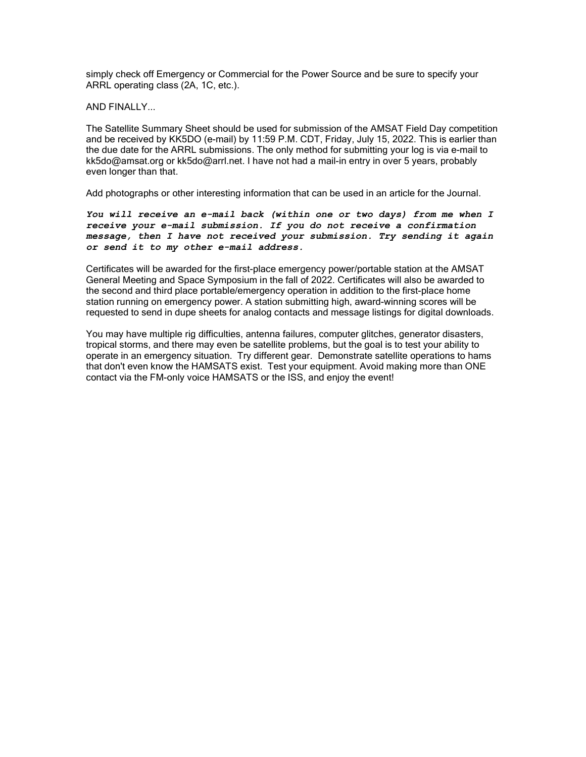simply check off Emergency or Commercial for the Power Source and be sure to specify your ARRL operating class (2A, 1C, etc.).

AND FINALLY...

The Satellite Summary Sheet should be used for submission of the AMSAT Field Day competition and be received by KK5DO (e-mail) by 11:59 P.M. CDT, Friday, July 15, 2022. This is earlier than the due date for the ARRL submissions. The only method for submitting your log is via e-mail to kk5do@amsat.org or kk5do@arrl.net. I have not had a mail-in entry in over 5 years, probably even longer than that.

Add photographs or other interesting information that can be used in an article for the Journal.

You will receive an e-mail back (within one or two days) from me when I receive your e-mail submission. If you do not receive a confirmation message, then I have not received your submission. Try sending it again or send it to my other e-mail address.

Certificates will be awarded for the first-place emergency power/portable station at the AMSAT General Meeting and Space Symposium in the fall of 2022. Certificates will also be awarded to the second and third place portable/emergency operation in addition to the first-place home station running on emergency power. A station submitting high, award-winning scores will be requested to send in dupe sheets for analog contacts and message listings for digital downloads.

You may have multiple rig difficulties, antenna failures, computer glitches, generator disasters, tropical storms, and there may even be satellite problems, but the goal is to test your ability to operate in an emergency situation. Try different gear. Demonstrate satellite operations to hams that don't even know the HAMSATS exist. Test your equipment. Avoid making more than ONE contact via the FM-only voice HAMSATS or the ISS, and enjoy the event!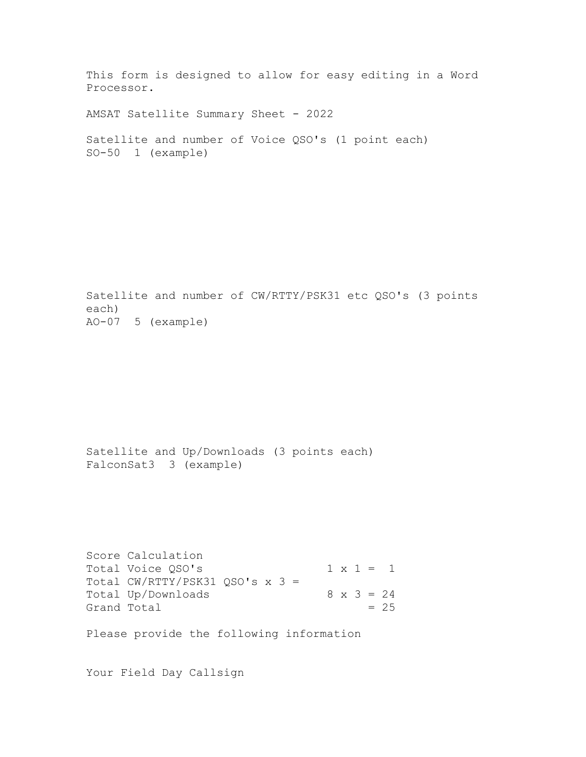This form is designed to allow for easy editing in a Word Processor.

AMSAT Satellite Summary Sheet - 2022

```
Satellite and number of Voice QSO's (1 point each) 
SO-50 1 (example)
```
Satellite and number of CW/RTTY/PSK31 etc QSO's (3 points each) AO-07 5 (example)

Satellite and Up/Downloads (3 points each) FalconSat3 3 (example)

```
Score Calculation 
Total Voice QSO'S 1 x 1 = 1
Total CW/RTTY/PSK31 QSO's x 3 = 
Total Up/Downloads 8 \times 3 = 24Grand Total = 25
```
Please provide the following information

Your Field Day Callsign